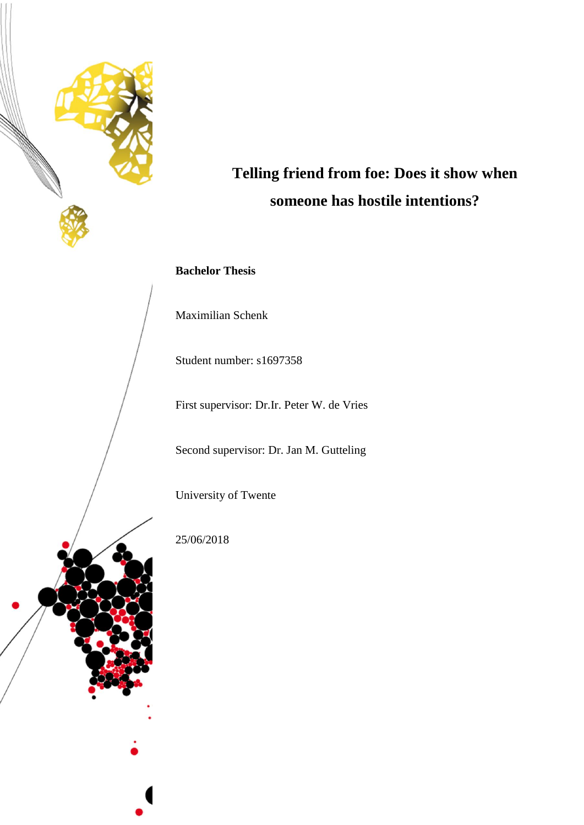

# **Telling friend from foe: Does it show when someone has hostile intentions?**

# **Bachelor Thesis**

Maximilian Schenk

Student number: s1697358

First supervisor: Dr.Ir. Peter W. de Vries

Second supervisor: Dr. Jan M. Gutteling

University of Twente

25/06/2018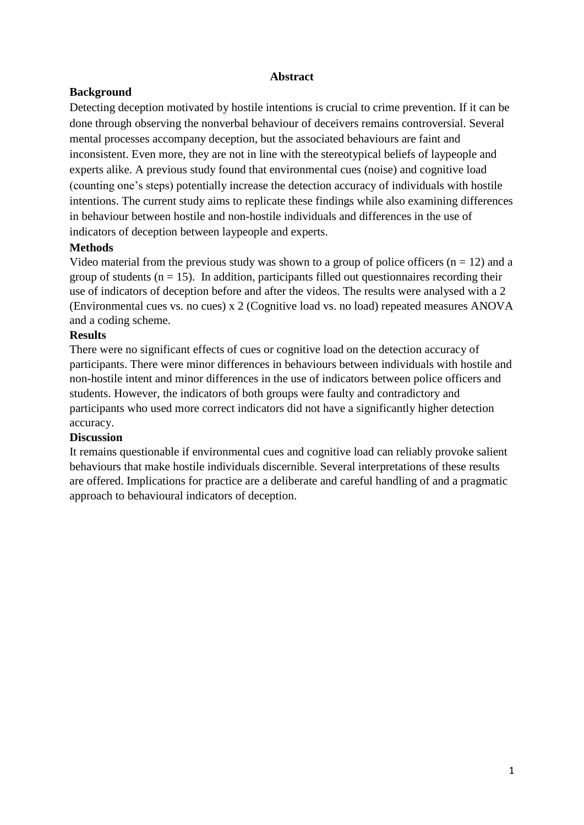# **Abstract**

# **Background**

Detecting deception motivated by hostile intentions is crucial to crime prevention. If it can be done through observing the nonverbal behaviour of deceivers remains controversial. Several mental processes accompany deception, but the associated behaviours are faint and inconsistent. Even more, they are not in line with the stereotypical beliefs of laypeople and experts alike. A previous study found that environmental cues (noise) and cognitive load (counting one's steps) potentially increase the detection accuracy of individuals with hostile intentions. The current study aims to replicate these findings while also examining differences in behaviour between hostile and non-hostile individuals and differences in the use of indicators of deception between laypeople and experts.

# **Methods**

Video material from the previous study was shown to a group of police officers ( $n = 12$ ) and a group of students  $(n = 15)$ . In addition, participants filled out questionnaires recording their use of indicators of deception before and after the videos. The results were analysed with a 2 (Environmental cues vs. no cues) x 2 (Cognitive load vs. no load) repeated measures ANOVA and a coding scheme.

# **Results**

There were no significant effects of cues or cognitive load on the detection accuracy of participants. There were minor differences in behaviours between individuals with hostile and non-hostile intent and minor differences in the use of indicators between police officers and students. However, the indicators of both groups were faulty and contradictory and participants who used more correct indicators did not have a significantly higher detection accuracy.

# **Discussion**

It remains questionable if environmental cues and cognitive load can reliably provoke salient behaviours that make hostile individuals discernible. Several interpretations of these results are offered. Implications for practice are a deliberate and careful handling of and a pragmatic approach to behavioural indicators of deception.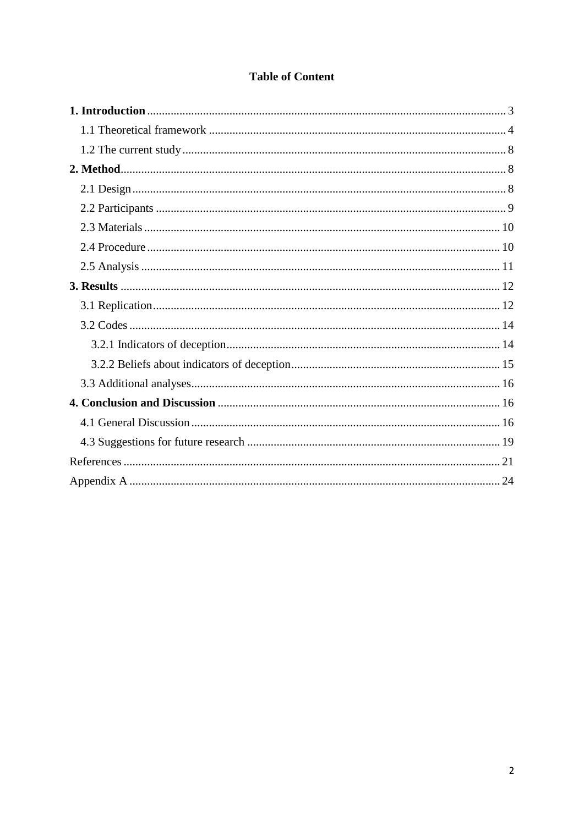# **Table of Content**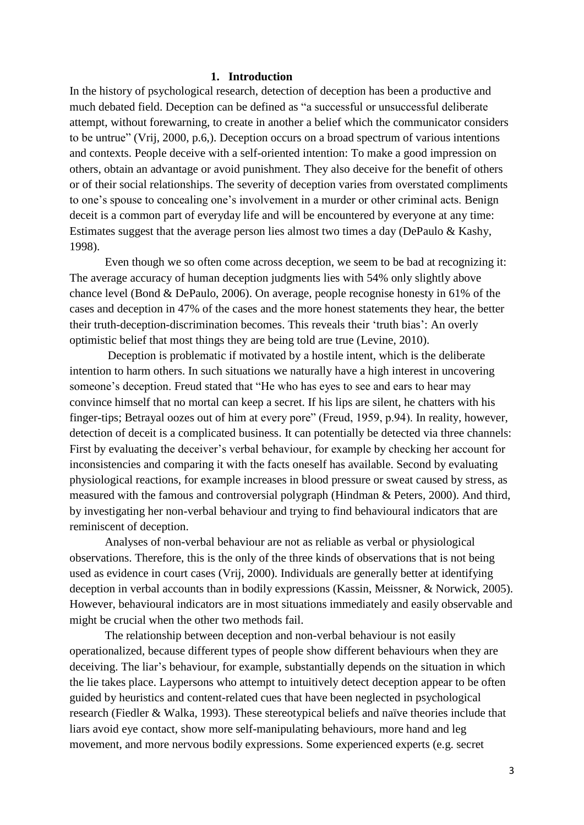#### **1. Introduction**

<span id="page-3-0"></span>In the history of psychological research, detection of deception has been a productive and much debated field. Deception can be defined as "a successful or unsuccessful deliberate attempt, without forewarning, to create in another a belief which the communicator considers to be untrue" (Vrij, 2000, p.6,). Deception occurs on a broad spectrum of various intentions and contexts. People deceive with a self-oriented intention: To make a good impression on others, obtain an advantage or avoid punishment. They also deceive for the benefit of others or of their social relationships. The severity of deception varies from overstated compliments to one's spouse to concealing one's involvement in a murder or other criminal acts. Benign deceit is a common part of everyday life and will be encountered by everyone at any time: Estimates suggest that the average person lies almost two times a day (DePaulo & Kashy, 1998).

Even though we so often come across deception, we seem to be bad at recognizing it: The average accuracy of human deception judgments lies with 54% only slightly above chance level (Bond & DePaulo, 2006). On average, people recognise honesty in 61% of the cases and deception in 47% of the cases and the more honest statements they hear, the better their truth-deception-discrimination becomes. This reveals their 'truth bias': An overly optimistic belief that most things they are being told are true (Levine, 2010).

Deception is problematic if motivated by a hostile intent, which is the deliberate intention to harm others. In such situations we naturally have a high interest in uncovering someone's deception. Freud stated that "He who has eyes to see and ears to hear may convince himself that no mortal can keep a secret. If his lips are silent, he chatters with his finger-tips; Betrayal oozes out of him at every pore" (Freud, 1959, p.94). In reality, however, detection of deceit is a complicated business. It can potentially be detected via three channels: First by evaluating the deceiver's verbal behaviour, for example by checking her account for inconsistencies and comparing it with the facts oneself has available. Second by evaluating physiological reactions, for example increases in blood pressure or sweat caused by stress, as measured with the famous and controversial polygraph (Hindman & Peters, 2000). And third, by investigating her non-verbal behaviour and trying to find behavioural indicators that are reminiscent of deception.

Analyses of non-verbal behaviour are not as reliable as verbal or physiological observations. Therefore, this is the only of the three kinds of observations that is not being used as evidence in court cases (Vrij, 2000). Individuals are generally better at identifying deception in verbal accounts than in bodily expressions (Kassin, Meissner, & Norwick, 2005). However, behavioural indicators are in most situations immediately and easily observable and might be crucial when the other two methods fail.

The relationship between deception and non-verbal behaviour is not easily operationalized, because different types of people show different behaviours when they are deceiving. The liar's behaviour, for example, substantially depends on the situation in which the lie takes place. Laypersons who attempt to intuitively detect deception appear to be often guided by heuristics and content-related cues that have been neglected in psychological research (Fiedler & Walka, 1993). These stereotypical beliefs and naïve theories include that liars avoid eye contact, show more self-manipulating behaviours, more hand and leg movement, and more nervous bodily expressions. Some experienced experts (e.g. secret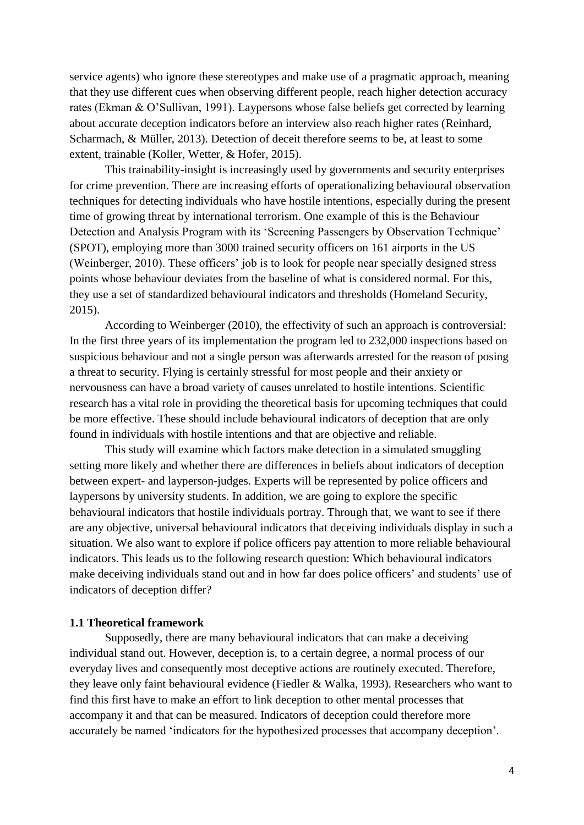service agents) who ignore these stereotypes and make use of a pragmatic approach, meaning that they use different cues when observing different people, reach higher detection accuracy rates (Ekman & O'Sullivan, 1991). Laypersons whose false beliefs get corrected by learning about accurate deception indicators before an interview also reach higher rates (Reinhard, Scharmach, & Müller, 2013). Detection of deceit therefore seems to be, at least to some extent, trainable (Koller, Wetter, & Hofer, 2015).

This trainability-insight is increasingly used by governments and security enterprises for crime prevention. There are increasing efforts of operationalizing behavioural observation techniques for detecting individuals who have hostile intentions, especially during the present time of growing threat by international terrorism. One example of this is the Behaviour Detection and Analysis Program with its 'Screening Passengers by Observation Technique' (SPOT), employing more than 3000 trained security officers on 161 airports in the US (Weinberger, 2010). These officers' job is to look for people near specially designed stress points whose behaviour deviates from the baseline of what is considered normal. For this, they use a set of standardized behavioural indicators and thresholds (Homeland Security, 2015).

According to Weinberger (2010), the effectivity of such an approach is controversial: In the first three years of its implementation the program led to 232,000 inspections based on suspicious behaviour and not a single person was afterwards arrested for the reason of posing a threat to security. Flying is certainly stressful for most people and their anxiety or nervousness can have a broad variety of causes unrelated to hostile intentions. Scientific research has a vital role in providing the theoretical basis for upcoming techniques that could be more effective. These should include behavioural indicators of deception that are only found in individuals with hostile intentions and that are objective and reliable.

This study will examine which factors make detection in a simulated smuggling setting more likely and whether there are differences in beliefs about indicators of deception between expert- and layperson-judges. Experts will be represented by police officers and laypersons by university students. In addition, we are going to explore the specific behavioural indicators that hostile individuals portray. Through that, we want to see if there are any objective, universal behavioural indicators that deceiving individuals display in such a situation. We also want to explore if police officers pay attention to more reliable behavioural indicators. This leads us to the following research question: Which behavioural indicators make deceiving individuals stand out and in how far does police officers' and students' use of indicators of deception differ?

## <span id="page-4-0"></span>**1.1 Theoretical framework**

Supposedly, there are many behavioural indicators that can make a deceiving individual stand out. However, deception is, to a certain degree, a normal process of our everyday lives and consequently most deceptive actions are routinely executed. Therefore, they leave only faint behavioural evidence (Fiedler & Walka, 1993). Researchers who want to find this first have to make an effort to link deception to other mental processes that accompany it and that can be measured. Indicators of deception could therefore more accurately be named 'indicators for the hypothesized processes that accompany deception'.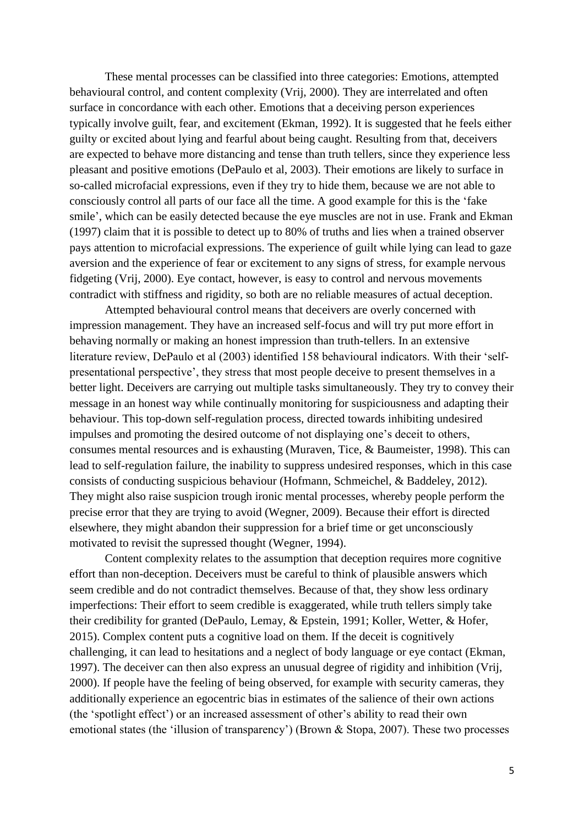These mental processes can be classified into three categories: Emotions, attempted behavioural control, and content complexity (Vrij, 2000). They are interrelated and often surface in concordance with each other. Emotions that a deceiving person experiences typically involve guilt, fear, and excitement (Ekman, 1992). It is suggested that he feels either guilty or excited about lying and fearful about being caught. Resulting from that, deceivers are expected to behave more distancing and tense than truth tellers, since they experience less pleasant and positive emotions (DePaulo et al, 2003). Their emotions are likely to surface in so-called microfacial expressions, even if they try to hide them, because we are not able to consciously control all parts of our face all the time. A good example for this is the 'fake smile', which can be easily detected because the eye muscles are not in use. Frank and Ekman (1997) claim that it is possible to detect up to 80% of truths and lies when a trained observer pays attention to microfacial expressions. The experience of guilt while lying can lead to gaze aversion and the experience of fear or excitement to any signs of stress, for example nervous fidgeting (Vrij, 2000). Eye contact, however, is easy to control and nervous movements contradict with stiffness and rigidity, so both are no reliable measures of actual deception.

Attempted behavioural control means that deceivers are overly concerned with impression management. They have an increased self-focus and will try put more effort in behaving normally or making an honest impression than truth-tellers. In an extensive literature review, DePaulo et al (2003) identified 158 behavioural indicators. With their 'selfpresentational perspective', they stress that most people deceive to present themselves in a better light. Deceivers are carrying out multiple tasks simultaneously. They try to convey their message in an honest way while continually monitoring for suspiciousness and adapting their behaviour. This top-down self-regulation process, directed towards inhibiting undesired impulses and promoting the desired outcome of not displaying one's deceit to others, consumes mental resources and is exhausting (Muraven, Tice, & Baumeister, 1998). This can lead to self-regulation failure, the inability to suppress undesired responses, which in this case consists of conducting suspicious behaviour (Hofmann, Schmeichel, & Baddeley, 2012). They might also raise suspicion trough ironic mental processes, whereby people perform the precise error that they are trying to avoid (Wegner, 2009). Because their effort is directed elsewhere, they might abandon their suppression for a brief time or get unconsciously motivated to revisit the supressed thought (Wegner, 1994).

Content complexity relates to the assumption that deception requires more cognitive effort than non-deception. Deceivers must be careful to think of plausible answers which seem credible and do not contradict themselves. Because of that, they show less ordinary imperfections: Their effort to seem credible is exaggerated, while truth tellers simply take their credibility for granted (DePaulo, Lemay, & Epstein, 1991; Koller, Wetter, & Hofer, 2015). Complex content puts a cognitive load on them. If the deceit is cognitively challenging, it can lead to hesitations and a neglect of body language or eye contact (Ekman, 1997). The deceiver can then also express an unusual degree of rigidity and inhibition (Vrij, 2000). If people have the feeling of being observed, for example with security cameras, they additionally experience an egocentric bias in estimates of the salience of their own actions (the 'spotlight effect') or an increased assessment of other's ability to read their own emotional states (the 'illusion of transparency') (Brown & Stopa, 2007). These two processes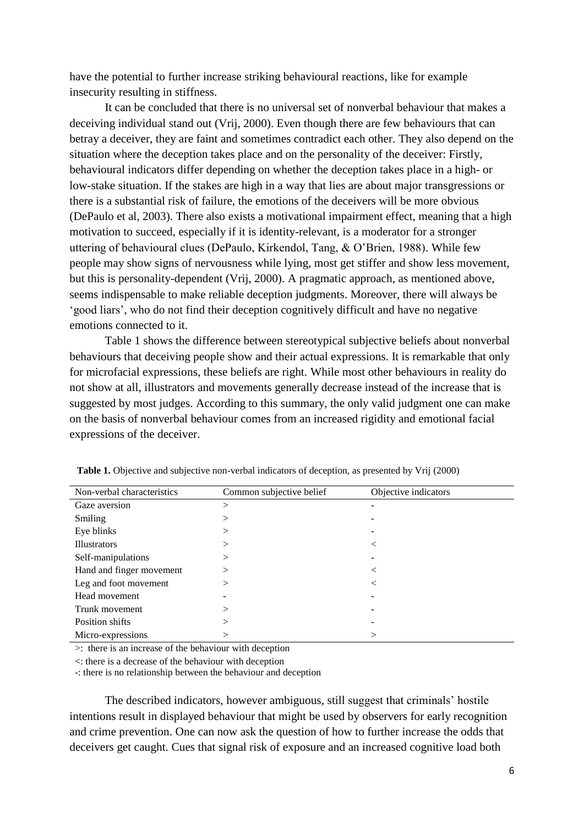have the potential to further increase striking behavioural reactions, like for example insecurity resulting in stiffness.

It can be concluded that there is no universal set of nonverbal behaviour that makes a deceiving individual stand out (Vrij, 2000). Even though there are few behaviours that can betray a deceiver, they are faint and sometimes contradict each other. They also depend on the situation where the deception takes place and on the personality of the deceiver: Firstly, behavioural indicators differ depending on whether the deception takes place in a high- or low-stake situation. If the stakes are high in a way that lies are about major transgressions or there is a substantial risk of failure, the emotions of the deceivers will be more obvious (DePaulo et al, 2003). There also exists a motivational impairment effect, meaning that a high motivation to succeed, especially if it is identity-relevant, is a moderator for a stronger uttering of behavioural clues (DePaulo, Kirkendol, Tang, & O'Brien, 1988). While few people may show signs of nervousness while lying, most get stiffer and show less movement, but this is personality-dependent (Vrij, 2000). A pragmatic approach, as mentioned above, seems indispensable to make reliable deception judgments. Moreover, there will always be 'good liars', who do not find their deception cognitively difficult and have no negative emotions connected to it.

Table 1 shows the difference between stereotypical subjective beliefs about nonverbal behaviours that deceiving people show and their actual expressions. It is remarkable that only for microfacial expressions, these beliefs are right. While most other behaviours in reality do not show at all, illustrators and movements generally decrease instead of the increase that is suggested by most judges. According to this summary, the only valid judgment one can make on the basis of nonverbal behaviour comes from an increased rigidity and emotional facial expressions of the deceiver.

| Non-verbal characteristics | Common subjective belief | Objective indicators |  |
|----------------------------|--------------------------|----------------------|--|
| Gaze aversion              | >                        |                      |  |
| Smiling                    |                          |                      |  |
| Eye blinks                 |                          |                      |  |
| <b>Illustrators</b>        |                          | <                    |  |
| Self-manipulations         | >                        |                      |  |
| Hand and finger movement   | >                        |                      |  |
| Leg and foot movement      | >                        | $\,<\,$              |  |
| Head movement              |                          |                      |  |
| Trunk movement             | >                        |                      |  |
| Position shifts            |                          |                      |  |
| Micro-expressions          |                          |                      |  |

**Table 1.** Objective and subjective non-verbal indicators of deception, as presented by Vrij (2000)

>: there is an increase of the behaviour with deception

<: there is a decrease of the behaviour with deception

-: there is no relationship between the behaviour and deception

The described indicators, however ambiguous, still suggest that criminals' hostile intentions result in displayed behaviour that might be used by observers for early recognition and crime prevention. One can now ask the question of how to further increase the odds that deceivers get caught. Cues that signal risk of exposure and an increased cognitive load both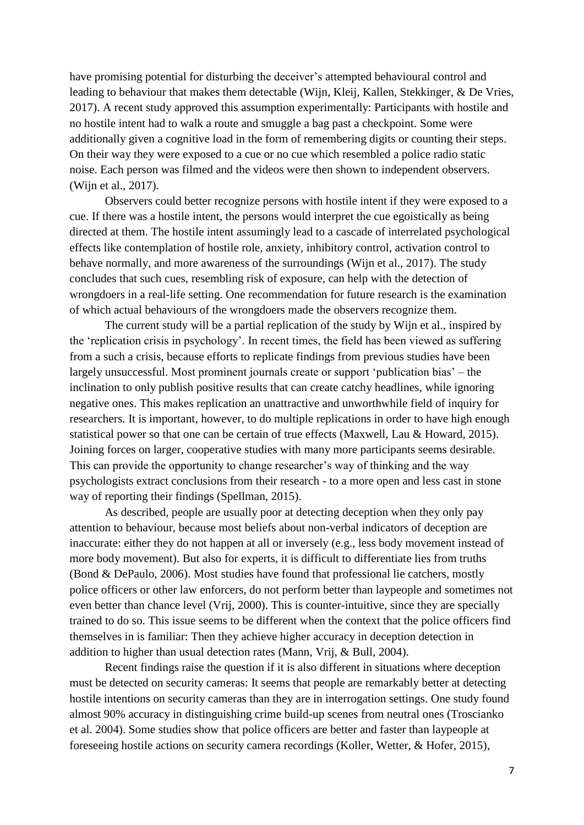have promising potential for disturbing the deceiver's attempted behavioural control and leading to behaviour that makes them detectable (Wijn, Kleij, Kallen, Stekkinger, & De Vries, 2017). A recent study approved this assumption experimentally: Participants with hostile and no hostile intent had to walk a route and smuggle a bag past a checkpoint. Some were additionally given a cognitive load in the form of remembering digits or counting their steps. On their way they were exposed to a cue or no cue which resembled a police radio static noise. Each person was filmed and the videos were then shown to independent observers. (Wijn et al., 2017).

Observers could better recognize persons with hostile intent if they were exposed to a cue. If there was a hostile intent, the persons would interpret the cue egoistically as being directed at them. The hostile intent assumingly lead to a cascade of interrelated psychological effects like contemplation of hostile role, anxiety, inhibitory control, activation control to behave normally, and more awareness of the surroundings (Wijn et al., 2017). The study concludes that such cues, resembling risk of exposure, can help with the detection of wrongdoers in a real-life setting. One recommendation for future research is the examination of which actual behaviours of the wrongdoers made the observers recognize them.

The current study will be a partial replication of the study by Wijn et al., inspired by the 'replication crisis in psychology'. In recent times, the field has been viewed as suffering from a such a crisis, because efforts to replicate findings from previous studies have been largely unsuccessful. Most prominent journals create or support 'publication bias' – the inclination to only publish positive results that can create catchy headlines, while ignoring negative ones. This makes replication an unattractive and unworthwhile field of inquiry for researchers. It is important, however, to do multiple replications in order to have high enough statistical power so that one can be certain of true effects (Maxwell, Lau & Howard, 2015). Joining forces on larger, cooperative studies with many more participants seems desirable. This can provide the opportunity to change researcher's way of thinking and the way psychologists extract conclusions from their research - to a more open and less cast in stone way of reporting their findings (Spellman, 2015).

As described, people are usually poor at detecting deception when they only pay attention to behaviour, because most beliefs about non-verbal indicators of deception are inaccurate: either they do not happen at all or inversely (e.g., less body movement instead of more body movement). But also for experts, it is difficult to differentiate lies from truths (Bond & DePaulo, 2006). Most studies have found that professional lie catchers, mostly police officers or other law enforcers, do not perform better than laypeople and sometimes not even better than chance level (Vrij, 2000). This is counter-intuitive, since they are specially trained to do so. This issue seems to be different when the context that the police officers find themselves in is familiar: Then they achieve higher accuracy in deception detection in addition to higher than usual detection rates (Mann, Vrij, & Bull, 2004).

Recent findings raise the question if it is also different in situations where deception must be detected on security cameras: It seems that people are remarkably better at detecting hostile intentions on security cameras than they are in interrogation settings. One study found almost 90% accuracy in distinguishing crime build-up scenes from neutral ones (Troscianko et al. 2004). Some studies show that police officers are better and faster than laypeople at foreseeing hostile actions on security camera recordings (Koller, Wetter, & Hofer, 2015),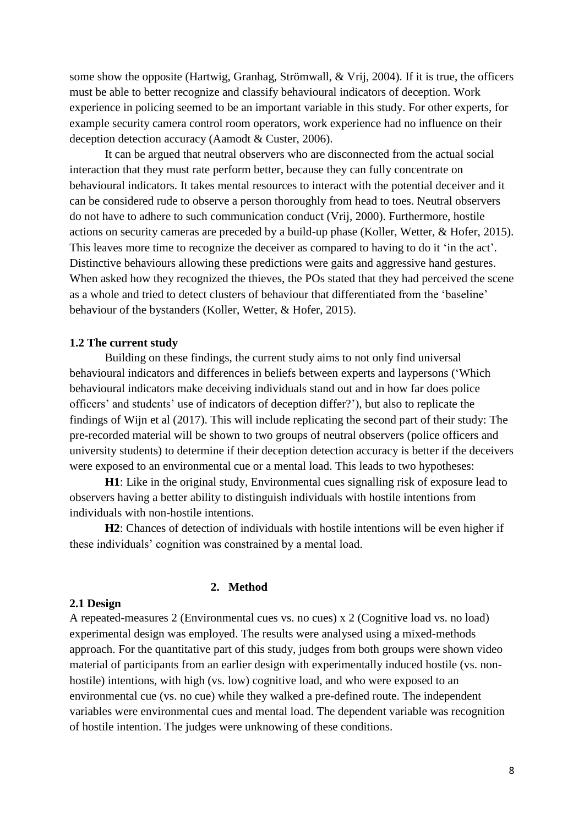some show the opposite (Hartwig, Granhag, Strömwall, & Vrij, 2004). If it is true, the officers must be able to better recognize and classify behavioural indicators of deception. Work experience in policing seemed to be an important variable in this study. For other experts, for example security camera control room operators, work experience had no influence on their deception detection accuracy (Aamodt & Custer, 2006).

It can be argued that neutral observers who are disconnected from the actual social interaction that they must rate perform better, because they can fully concentrate on behavioural indicators. It takes mental resources to interact with the potential deceiver and it can be considered rude to observe a person thoroughly from head to toes. Neutral observers do not have to adhere to such communication conduct (Vrij, 2000). Furthermore, hostile actions on security cameras are preceded by a build-up phase (Koller, Wetter, & Hofer, 2015). This leaves more time to recognize the deceiver as compared to having to do it 'in the act'. Distinctive behaviours allowing these predictions were gaits and aggressive hand gestures. When asked how they recognized the thieves, the POs stated that they had perceived the scene as a whole and tried to detect clusters of behaviour that differentiated from the 'baseline' behaviour of the bystanders (Koller, Wetter, & Hofer, 2015).

#### <span id="page-8-0"></span>**1.2 The current study**

Building on these findings, the current study aims to not only find universal behavioural indicators and differences in beliefs between experts and laypersons ('Which behavioural indicators make deceiving individuals stand out and in how far does police officers' and students' use of indicators of deception differ?'), but also to replicate the findings of Wijn et al (2017). This will include replicating the second part of their study: The pre-recorded material will be shown to two groups of neutral observers (police officers and university students) to determine if their deception detection accuracy is better if the deceivers were exposed to an environmental cue or a mental load. This leads to two hypotheses:

**H1**: Like in the original study, Environmental cues signalling risk of exposure lead to observers having a better ability to distinguish individuals with hostile intentions from individuals with non-hostile intentions.

**H2**: Chances of detection of individuals with hostile intentions will be even higher if these individuals' cognition was constrained by a mental load.

#### **2. Method**

### <span id="page-8-2"></span><span id="page-8-1"></span>**2.1 Design**

A repeated-measures 2 (Environmental cues vs. no cues) x 2 (Cognitive load vs. no load) experimental design was employed. The results were analysed using a mixed-methods approach. For the quantitative part of this study, judges from both groups were shown video material of participants from an earlier design with experimentally induced hostile (vs. nonhostile) intentions, with high (vs. low) cognitive load, and who were exposed to an environmental cue (vs. no cue) while they walked a pre-defined route. The independent variables were environmental cues and mental load. The dependent variable was recognition of hostile intention. The judges were unknowing of these conditions.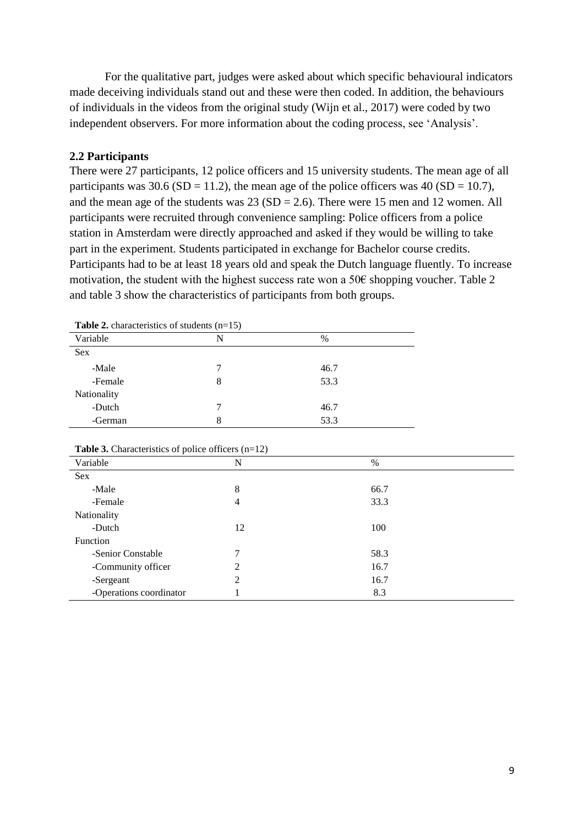For the qualitative part, judges were asked about which specific behavioural indicators made deceiving individuals stand out and these were then coded. In addition, the behaviours of individuals in the videos from the original study (Wijn et al., 2017) were coded by two independent observers. For more information about the coding process, see 'Analysis'.

## <span id="page-9-0"></span>**2.2 Participants**

There were 27 participants, 12 police officers and 15 university students. The mean age of all participants was  $30.6$  (SD = 11.2), the mean age of the police officers was  $40$  (SD = 10.7), and the mean age of the students was  $23 (SD = 2.6)$ . There were 15 men and 12 women. All participants were recruited through convenience sampling: Police officers from a police station in Amsterdam were directly approached and asked if they would be willing to take part in the experiment. Students participated in exchange for Bachelor course credits. Participants had to be at least 18 years old and speak the Dutch language fluently. To increase motivation, the student with the highest success rate won a 50 $\epsilon$  shopping voucher. Table 2 and table 3 show the characteristics of participants from both groups.

| <b>Table 2.</b> Characteristics of students $(n=15)$ |   |      |  |
|------------------------------------------------------|---|------|--|
| Variable                                             | N | $\%$ |  |
| Sex                                                  |   |      |  |
| -Male                                                | 7 | 46.7 |  |
| -Female                                              | 8 | 53.3 |  |
| Nationality                                          |   |      |  |
| -Dutch                                               |   | 46.7 |  |
| -German                                              | 8 | 53.3 |  |

**Table 2.** characteristics of students (n=15)

| <b>Table 3.</b> Characteristics of police officers $(n=12)$ |      |  |  |
|-------------------------------------------------------------|------|--|--|
| N                                                           | $\%$ |  |  |
|                                                             |      |  |  |
| 8                                                           | 66.7 |  |  |
| 4                                                           | 33.3 |  |  |
|                                                             |      |  |  |
| 12                                                          | 100  |  |  |
|                                                             |      |  |  |
| 7                                                           | 58.3 |  |  |
| 2                                                           | 16.7 |  |  |
| $\overline{2}$                                              | 16.7 |  |  |
|                                                             | 8.3  |  |  |
|                                                             |      |  |  |

**Table 3.** Characteristics of police officers (n=12)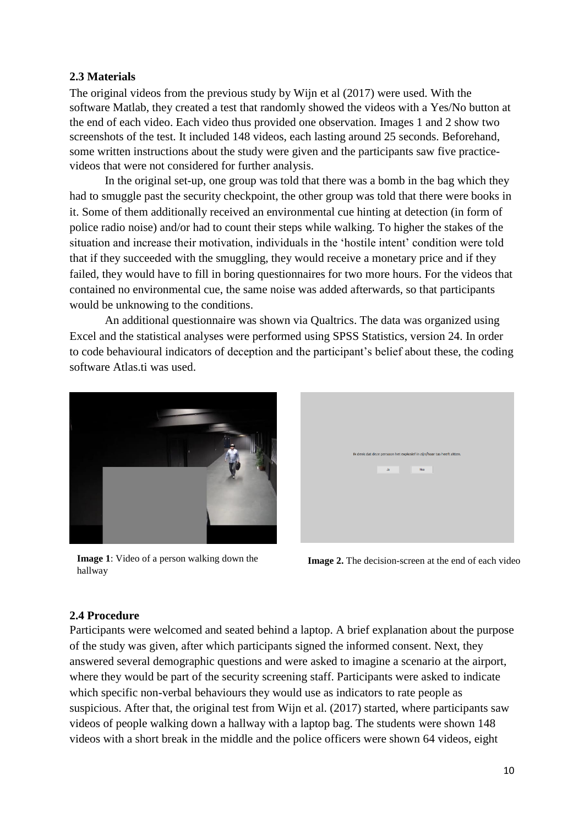## <span id="page-10-0"></span>**2.3 Materials**

The original videos from the previous study by Wijn et al (2017) were used. With the software Matlab, they created a test that randomly showed the videos with a Yes/No button at the end of each video. Each video thus provided one observation. Images 1 and 2 show two screenshots of the test. It included 148 videos, each lasting around 25 seconds. Beforehand, some written instructions about the study were given and the participants saw five practicevideos that were not considered for further analysis.

In the original set-up, one group was told that there was a bomb in the bag which they had to smuggle past the security checkpoint, the other group was told that there were books in it. Some of them additionally received an environmental cue hinting at detection (in form of police radio noise) and/or had to count their steps while walking. To higher the stakes of the situation and increase their motivation, individuals in the 'hostile intent' condition were told that if they succeeded with the smuggling, they would receive a monetary price and if they failed, they would have to fill in boring questionnaires for two more hours. For the videos that contained no environmental cue, the same noise was added afterwards, so that participants would be unknowing to the conditions.

An additional questionnaire was shown via Qualtrics. The data was organized using Excel and the statistical analyses were performed using SPSS Statistics, version 24. In order to code behavioural indicators of deception and the participant's belief about these, the coding software Atlas.ti was used.

![](_page_10_Picture_4.jpeg)

**Image 1**: Video of a person walking down the hallway

![](_page_10_Picture_6.jpeg)

**Image 2.** The decision-screen at the end of each video

#### <span id="page-10-1"></span>**2.4 Procedure**

Participants were welcomed and seated behind a laptop. A brief explanation about the purpose of the study was given, after which participants signed the informed consent. Next, they answered several demographic questions and were asked to imagine a scenario at the airport, where they would be part of the security screening staff. Participants were asked to indicate which specific non-verbal behaviours they would use as indicators to rate people as suspicious. After that, the original test from Wijn et al. (2017) started, where participants saw videos of people walking down a hallway with a laptop bag. The students were shown 148 videos with a short break in the middle and the police officers were shown 64 videos, eight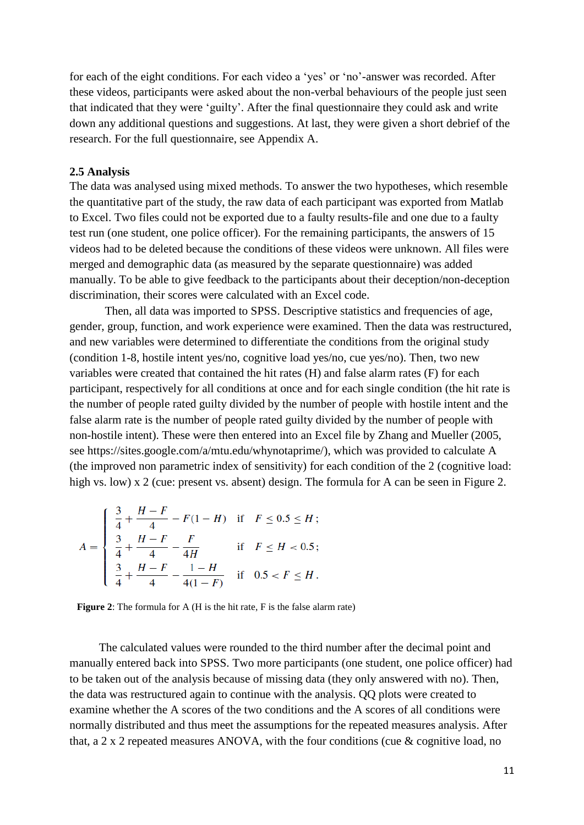for each of the eight conditions. For each video a 'yes' or 'no'-answer was recorded. After these videos, participants were asked about the non-verbal behaviours of the people just seen that indicated that they were 'guilty'. After the final questionnaire they could ask and write down any additional questions and suggestions. At last, they were given a short debrief of the research. For the full questionnaire, see Appendix A.

#### <span id="page-11-0"></span>**2.5 Analysis**

The data was analysed using mixed methods. To answer the two hypotheses, which resemble the quantitative part of the study, the raw data of each participant was exported from Matlab to Excel. Two files could not be exported due to a faulty results-file and one due to a faulty test run (one student, one police officer). For the remaining participants, the answers of 15 videos had to be deleted because the conditions of these videos were unknown. All files were merged and demographic data (as measured by the separate questionnaire) was added manually. To be able to give feedback to the participants about their deception/non-deception discrimination, their scores were calculated with an Excel code.

Then, all data was imported to SPSS. Descriptive statistics and frequencies of age, gender, group, function, and work experience were examined. Then the data was restructured, and new variables were determined to differentiate the conditions from the original study (condition 1-8, hostile intent yes/no, cognitive load yes/no, cue yes/no). Then, two new variables were created that contained the hit rates (H) and false alarm rates (F) for each participant, respectively for all conditions at once and for each single condition (the hit rate is the number of people rated guilty divided by the number of people with hostile intent and the false alarm rate is the number of people rated guilty divided by the number of people with non-hostile intent). These were then entered into an Excel file by Zhang and Mueller (2005, see [https://sites.google.com/a/mtu.edu/whynotaprime/\)](https://sites.google.com/a/mtu.edu/whynotaprime/), which was provided to calculate A (the improved non parametric index of sensitivity) for each condition of the 2 (cognitive load: high vs. low) x 2 (cue: present vs. absent) design. The formula for A can be seen in Figure 2.

$$
A = \begin{cases} \frac{3}{4} + \frac{H - F}{4} - F(1 - H) & \text{if } F \le 0.5 \le H; \\ \frac{3}{4} + \frac{H - F}{4} - \frac{F}{4H} & \text{if } F \le H < 0.5; \\ \frac{3}{4} + \frac{H - F}{4} - \frac{1 - H}{4(1 - F)} & \text{if } 0.5 < F \le H. \end{cases}
$$

**Figure 2**: The formula for A (H is the hit rate, F is the false alarm rate)

 The calculated values were rounded to the third number after the decimal point and manually entered back into SPSS. Two more participants (one student, one police officer) had to be taken out of the analysis because of missing data (they only answered with no). Then, the data was restructured again to continue with the analysis. QQ plots were created to examine whether the A scores of the two conditions and the A scores of all conditions were normally distributed and thus meet the assumptions for the repeated measures analysis. After that, a 2 x 2 repeated measures ANOVA, with the four conditions (cue & cognitive load, no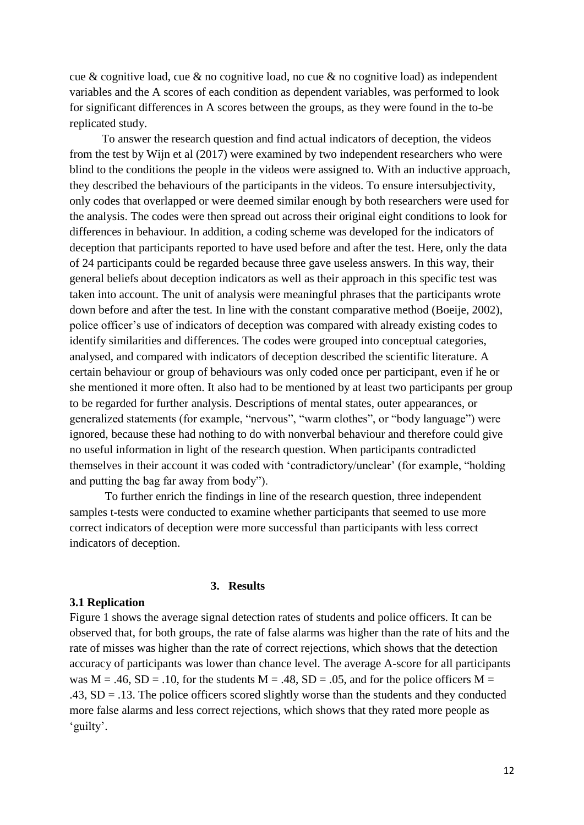cue & cognitive load, cue & no cognitive load, no cue & no cognitive load) as independent variables and the A scores of each condition as dependent variables, was performed to look for significant differences in A scores between the groups, as they were found in the to-be replicated study.

 To answer the research question and find actual indicators of deception, the videos from the test by Wijn et al (2017) were examined by two independent researchers who were blind to the conditions the people in the videos were assigned to. With an inductive approach, they described the behaviours of the participants in the videos. To ensure intersubjectivity, only codes that overlapped or were deemed similar enough by both researchers were used for the analysis. The codes were then spread out across their original eight conditions to look for differences in behaviour. In addition, a coding scheme was developed for the indicators of deception that participants reported to have used before and after the test. Here, only the data of 24 participants could be regarded because three gave useless answers. In this way, their general beliefs about deception indicators as well as their approach in this specific test was taken into account. The unit of analysis were meaningful phrases that the participants wrote down before and after the test. In line with the constant comparative method (Boeije, 2002), police officer's use of indicators of deception was compared with already existing codes to identify similarities and differences. The codes were grouped into conceptual categories, analysed, and compared with indicators of deception described the scientific literature. A certain behaviour or group of behaviours was only coded once per participant, even if he or she mentioned it more often. It also had to be mentioned by at least two participants per group to be regarded for further analysis. Descriptions of mental states, outer appearances, or generalized statements (for example, "nervous", "warm clothes", or "body language") were ignored, because these had nothing to do with nonverbal behaviour and therefore could give no useful information in light of the research question. When participants contradicted themselves in their account it was coded with 'contradictory/unclear' (for example, "holding and putting the bag far away from body").

To further enrich the findings in line of the research question, three independent samples t-tests were conducted to examine whether participants that seemed to use more correct indicators of deception were more successful than participants with less correct indicators of deception.

#### **3. Results**

#### <span id="page-12-1"></span><span id="page-12-0"></span>**3.1 Replication**

Figure 1 shows the average signal detection rates of students and police officers. It can be observed that, for both groups, the rate of false alarms was higher than the rate of hits and the rate of misses was higher than the rate of correct rejections, which shows that the detection accuracy of participants was lower than chance level. The average A-score for all participants was  $M = .46$ ,  $SD = .10$ , for the students  $M = .48$ ,  $SD = .05$ , and for the police officers  $M =$ .43, SD = .13. The police officers scored slightly worse than the students and they conducted more false alarms and less correct rejections, which shows that they rated more people as 'guilty'.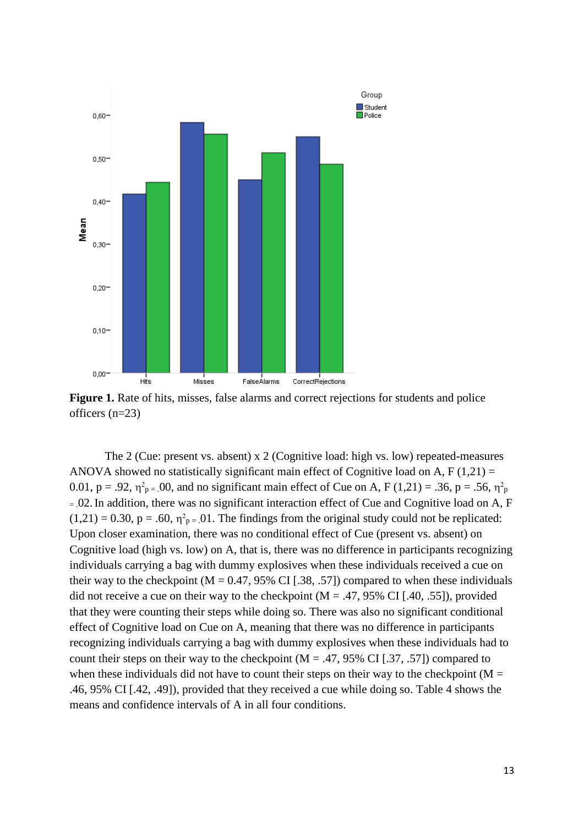![](_page_13_Figure_0.jpeg)

Figure 1. Rate of hits, misses, false alarms and correct rejections for students and police officers (n=23)

The 2 (Cue: present vs. absent) x 2 (Cognitive load: high vs. low) repeated-measures ANOVA showed no statistically significant main effect of Cognitive load on A,  $F(1,21) =$ 0.01, p = .92,  $\eta_{p}^2 = 0.00$ , and no significant main effect of Cue on A, F (1,21) = .36, p = .56,  $\eta_{p}^2$  $= 02$ . In addition, there was no significant interaction effect of Cue and Cognitive load on A, F  $(1,21) = 0.30$ ,  $p = .60$ ,  $\eta_{p=0}^2$  01. The findings from the original study could not be replicated: Upon closer examination, there was no conditional effect of Cue (present vs. absent) on Cognitive load (high vs. low) on A, that is, there was no difference in participants recognizing individuals carrying a bag with dummy explosives when these individuals received a cue on their way to the checkpoint ( $M = 0.47, 95\%$  CI [.38, .57]) compared to when these individuals did not receive a cue on their way to the checkpoint  $(M = .47, 95\% \text{ CI}$  [.40, .55]), provided that they were counting their steps while doing so. There was also no significant conditional effect of Cognitive load on Cue on A, meaning that there was no difference in participants recognizing individuals carrying a bag with dummy explosives when these individuals had to count their steps on their way to the checkpoint ( $M = .47, 95\%$  CI [.37, .57]) compared to when these individuals did not have to count their steps on their way to the checkpoint  $(M =$ .46, 95% CI [.42, .49]), provided that they received a cue while doing so. Table 4 shows the means and confidence intervals of A in all four conditions.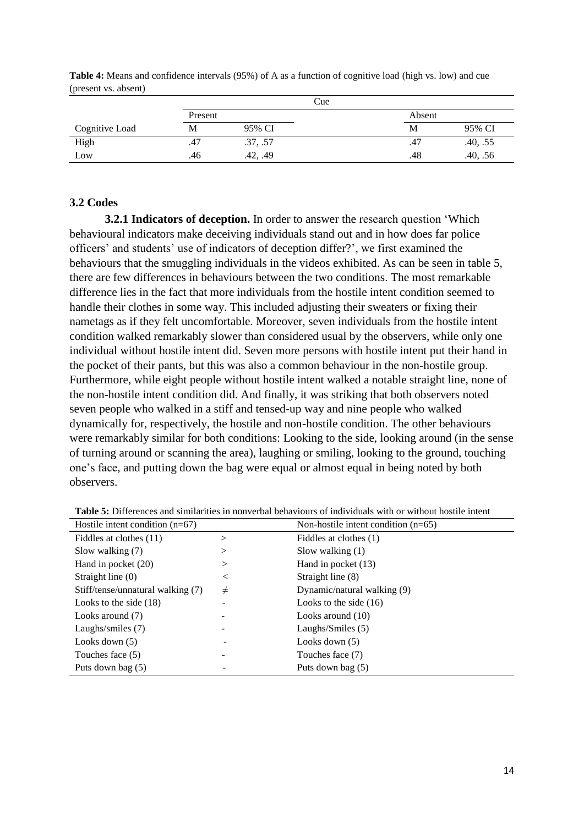|                |         |          | Cue |        |          |
|----------------|---------|----------|-----|--------|----------|
|                | Present |          |     | Absent |          |
| Cognitive Load | M       | 95% CI   |     | M      | 95% CI   |
| High           | .47     | .37, .57 |     | .47    | .40, .55 |
| Low            | .46     | .42, .49 |     | .48    | .40, .56 |

**Table 4:** Means and confidence intervals (95%) of A as a function of cognitive load (high vs. low) and cue (present vs. absent)

# <span id="page-14-0"></span>**3.2 Codes**

<span id="page-14-1"></span>**3.2.1 Indicators of deception.** In order to answer the research question 'Which behavioural indicators make deceiving individuals stand out and in how does far police officers' and students' use of indicators of deception differ?', we first examined the behaviours that the smuggling individuals in the videos exhibited. As can be seen in table 5, there are few differences in behaviours between the two conditions. The most remarkable difference lies in the fact that more individuals from the hostile intent condition seemed to handle their clothes in some way. This included adjusting their sweaters or fixing their nametags as if they felt uncomfortable. Moreover, seven individuals from the hostile intent condition walked remarkably slower than considered usual by the observers, while only one individual without hostile intent did. Seven more persons with hostile intent put their hand in the pocket of their pants, but this was also a common behaviour in the non-hostile group. Furthermore, while eight people without hostile intent walked a notable straight line, none of the non-hostile intent condition did. And finally, it was striking that both observers noted seven people who walked in a stiff and tensed-up way and nine people who walked dynamically for, respectively, the hostile and non-hostile condition. The other behaviours were remarkably similar for both conditions: Looking to the side, looking around (in the sense of turning around or scanning the area), laughing or smiling, looking to the ground, touching one's face, and putting down the bag were equal or almost equal in being noted by both observers.

| Hostile intent condition $(n=67)$ |          | Non-hostile intent condition $(n=65)$ |  |
|-----------------------------------|----------|---------------------------------------|--|
| Fiddles at clothes (11)           | $\rm{>}$ | Fiddles at clothes (1)                |  |
| Slow walking (7)                  | >        | Slow walking $(1)$                    |  |
| Hand in pocket (20)               | >        | Hand in pocket (13)                   |  |
| Straight line $(0)$               | $\,<\,$  | Straight line (8)                     |  |
| Stiff/tense/unnatural walking (7) | $\neq$   | Dynamic/natural walking (9)           |  |
| Looks to the side $(18)$          |          | Looks to the side $(16)$              |  |
| Looks around (7)                  |          | Looks around $(10)$                   |  |
| Laughs/smiles (7)                 |          | Laughs/Smiles $(5)$                   |  |
| Looks down $(5)$                  |          | Looks down $(5)$                      |  |
| Touches face (5)                  |          | Touches face (7)                      |  |
| Puts down bag $(5)$               |          | Puts down bag (5)                     |  |

**Table 5:** Differences and similarities in nonverbal behaviours of individuals with or without hostile intent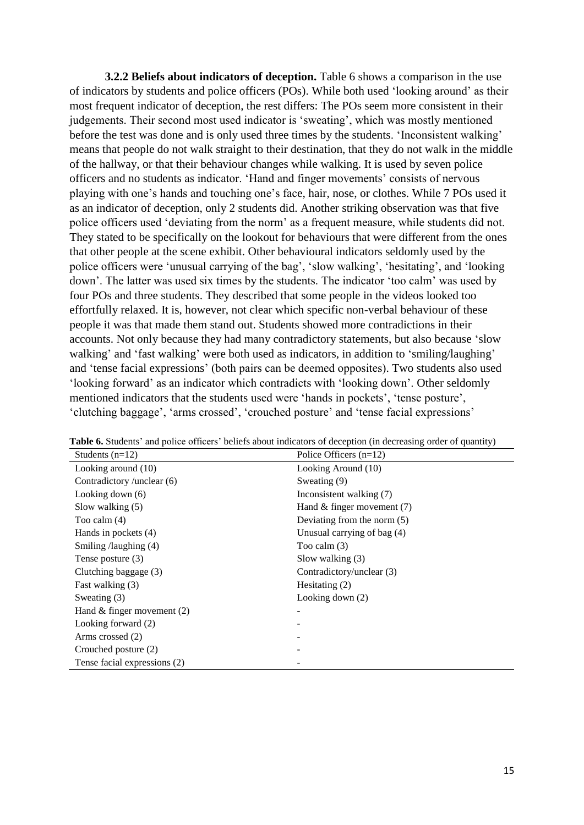<span id="page-15-0"></span>**3.2.2 Beliefs about indicators of deception.** Table 6 shows a comparison in the use of indicators by students and police officers (POs). While both used 'looking around' as their most frequent indicator of deception, the rest differs: The POs seem more consistent in their judgements. Their second most used indicator is 'sweating', which was mostly mentioned before the test was done and is only used three times by the students. 'Inconsistent walking' means that people do not walk straight to their destination, that they do not walk in the middle of the hallway, or that their behaviour changes while walking. It is used by seven police officers and no students as indicator. 'Hand and finger movements' consists of nervous playing with one's hands and touching one's face, hair, nose, or clothes. While 7 POs used it as an indicator of deception, only 2 students did. Another striking observation was that five police officers used 'deviating from the norm' as a frequent measure, while students did not. They stated to be specifically on the lookout for behaviours that were different from the ones that other people at the scene exhibit. Other behavioural indicators seldomly used by the police officers were 'unusual carrying of the bag', 'slow walking', 'hesitating', and 'looking down'. The latter was used six times by the students. The indicator 'too calm' was used by four POs and three students. They described that some people in the videos looked too effortfully relaxed. It is, however, not clear which specific non-verbal behaviour of these people it was that made them stand out. Students showed more contradictions in their accounts. Not only because they had many contradictory statements, but also because 'slow walking' and 'fast walking' were both used as indicators, in addition to 'smiling/laughing' and 'tense facial expressions' (both pairs can be deemed opposites). Two students also used 'looking forward' as an indicator which contradicts with 'looking down'. Other seldomly mentioned indicators that the students used were 'hands in pockets', 'tense posture', 'clutching baggage', 'arms crossed', 'crouched posture' and 'tense facial expressions'

| Students $(n=12)$              | Police Officers $(n=12)$       |
|--------------------------------|--------------------------------|
| Looking around (10)            | Looking Around (10)            |
| Contradictory/unclear (6)      | Sweating (9)                   |
| Looking down (6)               | Inconsistent walking (7)       |
| Slow walking $(5)$             | Hand $&$ finger movement $(7)$ |
| Too calm $(4)$                 | Deviating from the norm $(5)$  |
| Hands in pockets (4)           | Unusual carrying of bag (4)    |
| Smiling /laughing (4)          | Too calm $(3)$                 |
| Tense posture $(3)$            | Slow walking (3)               |
| Clutching baggage (3)          | Contradictory/unclear (3)      |
| Fast walking (3)               | Hesitating $(2)$               |
| Sweating $(3)$                 | Looking down (2)               |
| Hand $&$ finger movement $(2)$ |                                |
| Looking forward (2)            |                                |
| Arms crossed (2)               |                                |
| Crouched posture (2)           |                                |
| Tense facial expressions (2)   |                                |

|  | Table 6. Students' and police officers' beliefs about indicators of deception (in decreasing order of quantity) |  |  |  |
|--|-----------------------------------------------------------------------------------------------------------------|--|--|--|
|--|-----------------------------------------------------------------------------------------------------------------|--|--|--|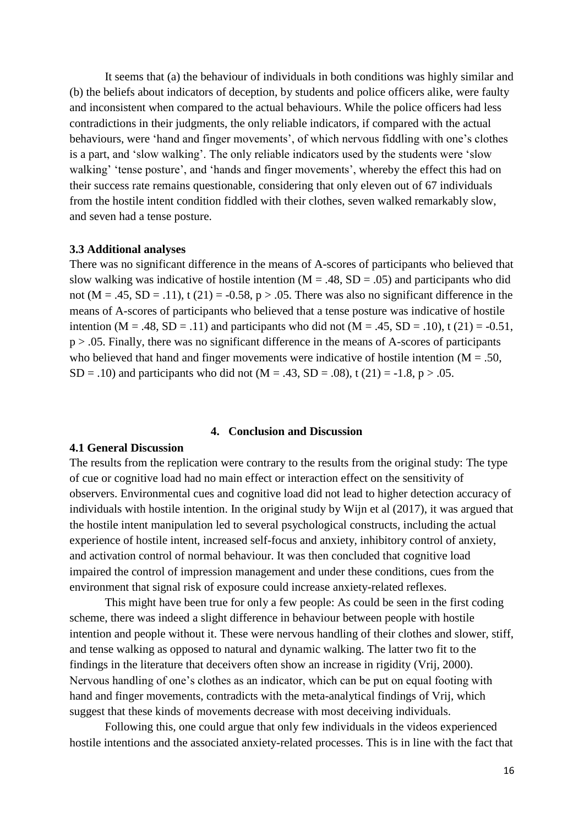It seems that (a) the behaviour of individuals in both conditions was highly similar and (b) the beliefs about indicators of deception, by students and police officers alike, were faulty and inconsistent when compared to the actual behaviours. While the police officers had less contradictions in their judgments, the only reliable indicators, if compared with the actual behaviours, were 'hand and finger movements', of which nervous fiddling with one's clothes is a part, and 'slow walking'. The only reliable indicators used by the students were 'slow walking' 'tense posture', and 'hands and finger movements', whereby the effect this had on their success rate remains questionable, considering that only eleven out of 67 individuals from the hostile intent condition fiddled with their clothes, seven walked remarkably slow, and seven had a tense posture.

#### <span id="page-16-0"></span>**3.3 Additional analyses**

There was no significant difference in the means of A-scores of participants who believed that slow walking was indicative of hostile intention ( $M = .48$ ,  $SD = .05$ ) and participants who did not ( $M = .45$ ,  $SD = .11$ ), t (21) = -0.58, p > .05. There was also no significant difference in the means of A-scores of participants who believed that a tense posture was indicative of hostile intention (M = .48, SD = .11) and participants who did not (M = .45, SD = .10), t (21) = -0.51,  $p > 0.05$ . Finally, there was no significant difference in the means of A-scores of participants who believed that hand and finger movements were indicative of hostile intention ( $M = .50$ , SD = .10) and participants who did not ( $M = .43$ , SD = .08), t (21) = -1.8, p > .05.

#### **4. Conclusion and Discussion**

# <span id="page-16-2"></span><span id="page-16-1"></span>**4.1 General Discussion**

The results from the replication were contrary to the results from the original study: The type of cue or cognitive load had no main effect or interaction effect on the sensitivity of observers. Environmental cues and cognitive load did not lead to higher detection accuracy of individuals with hostile intention. In the original study by Wijn et al (2017), it was argued that the hostile intent manipulation led to several psychological constructs, including the actual experience of hostile intent, increased self-focus and anxiety, inhibitory control of anxiety, and activation control of normal behaviour. It was then concluded that cognitive load impaired the control of impression management and under these conditions, cues from the environment that signal risk of exposure could increase anxiety-related reflexes.

This might have been true for only a few people: As could be seen in the first coding scheme, there was indeed a slight difference in behaviour between people with hostile intention and people without it. These were nervous handling of their clothes and slower, stiff, and tense walking as opposed to natural and dynamic walking. The latter two fit to the findings in the literature that deceivers often show an increase in rigidity (Vrij, 2000). Nervous handling of one's clothes as an indicator, which can be put on equal footing with hand and finger movements, contradicts with the meta-analytical findings of Vrij, which suggest that these kinds of movements decrease with most deceiving individuals.

Following this, one could argue that only few individuals in the videos experienced hostile intentions and the associated anxiety-related processes. This is in line with the fact that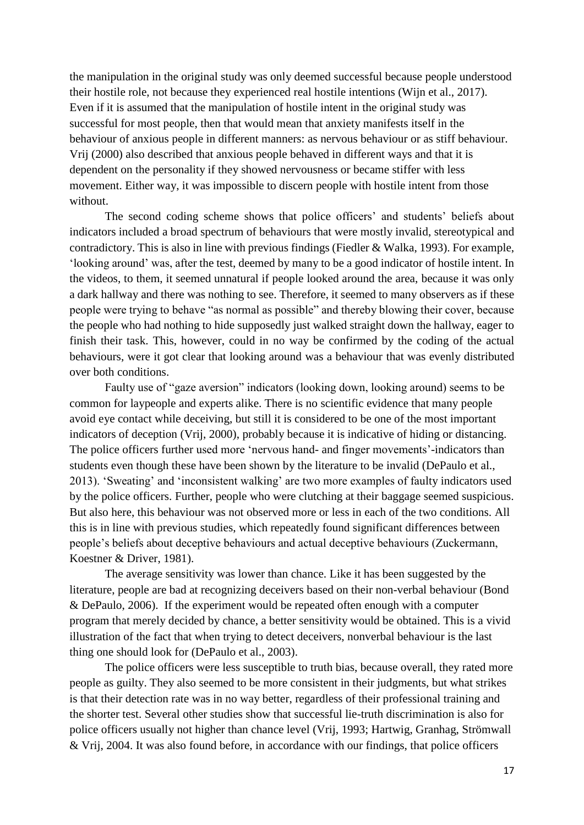the manipulation in the original study was only deemed successful because people understood their hostile role, not because they experienced real hostile intentions (Wijn et al., 2017). Even if it is assumed that the manipulation of hostile intent in the original study was successful for most people, then that would mean that anxiety manifests itself in the behaviour of anxious people in different manners: as nervous behaviour or as stiff behaviour. Vrij (2000) also described that anxious people behaved in different ways and that it is dependent on the personality if they showed nervousness or became stiffer with less movement. Either way, it was impossible to discern people with hostile intent from those without.

The second coding scheme shows that police officers' and students' beliefs about indicators included a broad spectrum of behaviours that were mostly invalid, stereotypical and contradictory. This is also in line with previous findings (Fiedler & Walka, 1993). For example, 'looking around' was, after the test, deemed by many to be a good indicator of hostile intent. In the videos, to them, it seemed unnatural if people looked around the area, because it was only a dark hallway and there was nothing to see. Therefore, it seemed to many observers as if these people were trying to behave "as normal as possible" and thereby blowing their cover, because the people who had nothing to hide supposedly just walked straight down the hallway, eager to finish their task. This, however, could in no way be confirmed by the coding of the actual behaviours, were it got clear that looking around was a behaviour that was evenly distributed over both conditions.

Faulty use of "gaze aversion" indicators (looking down, looking around) seems to be common for laypeople and experts alike. There is no scientific evidence that many people avoid eye contact while deceiving, but still it is considered to be one of the most important indicators of deception (Vrij, 2000), probably because it is indicative of hiding or distancing. The police officers further used more 'nervous hand- and finger movements'-indicators than students even though these have been shown by the literature to be invalid (DePaulo et al., 2013). 'Sweating' and 'inconsistent walking' are two more examples of faulty indicators used by the police officers. Further, people who were clutching at their baggage seemed suspicious. But also here, this behaviour was not observed more or less in each of the two conditions. All this is in line with previous studies, which repeatedly found significant differences between people's beliefs about deceptive behaviours and actual deceptive behaviours (Zuckermann, Koestner & Driver, 1981).

The average sensitivity was lower than chance. Like it has been suggested by the literature, people are bad at recognizing deceivers based on their non-verbal behaviour (Bond & DePaulo, 2006). If the experiment would be repeated often enough with a computer program that merely decided by chance, a better sensitivity would be obtained. This is a vivid illustration of the fact that when trying to detect deceivers, nonverbal behaviour is the last thing one should look for (DePaulo et al., 2003).

The police officers were less susceptible to truth bias, because overall, they rated more people as guilty. They also seemed to be more consistent in their judgments, but what strikes is that their detection rate was in no way better, regardless of their professional training and the shorter test. Several other studies show that successful lie-truth discrimination is also for police officers usually not higher than chance level (Vrij, 1993; Hartwig, Granhag, Strömwall & Vrij, 2004. It was also found before, in accordance with our findings, that police officers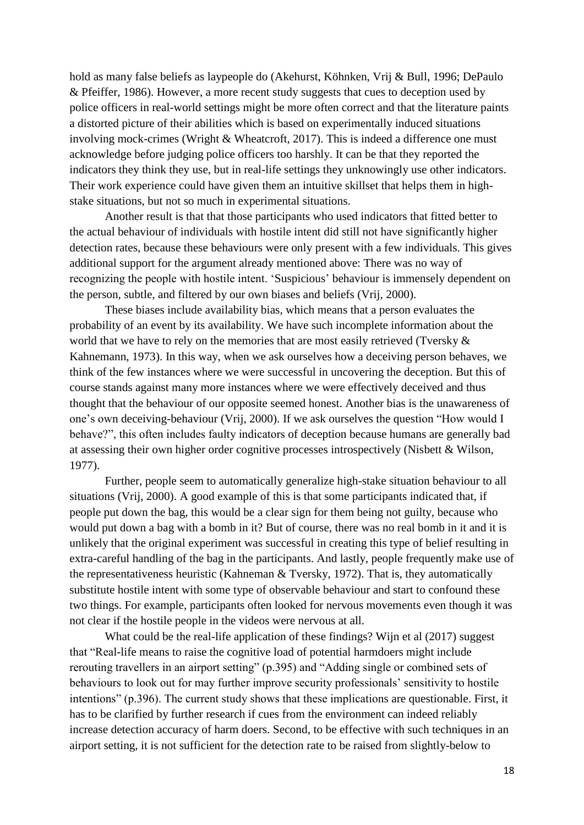hold as many false beliefs as laypeople do (Akehurst, Köhnken, Vrij & Bull, 1996; DePaulo & Pfeiffer, 1986). However, a more recent study suggests that cues to deception used by police officers in real-world settings might be more often correct and that the literature paints a distorted picture of their abilities which is based on experimentally induced situations involving mock-crimes (Wright & Wheatcroft, 2017). This is indeed a difference one must acknowledge before judging police officers too harshly. It can be that they reported the indicators they think they use, but in real-life settings they unknowingly use other indicators. Their work experience could have given them an intuitive skillset that helps them in highstake situations, but not so much in experimental situations.

Another result is that that those participants who used indicators that fitted better to the actual behaviour of individuals with hostile intent did still not have significantly higher detection rates, because these behaviours were only present with a few individuals. This gives additional support for the argument already mentioned above: There was no way of recognizing the people with hostile intent. 'Suspicious' behaviour is immensely dependent on the person, subtle, and filtered by our own biases and beliefs (Vrij, 2000).

These biases include availability bias, which means that a person evaluates the probability of an event by its availability. We have such incomplete information about the world that we have to rely on the memories that are most easily retrieved (Tversky & Kahnemann, 1973). In this way, when we ask ourselves how a deceiving person behaves, we think of the few instances where we were successful in uncovering the deception. But this of course stands against many more instances where we were effectively deceived and thus thought that the behaviour of our opposite seemed honest. Another bias is the unawareness of one's own deceiving-behaviour (Vrij, 2000). If we ask ourselves the question "How would I behave?", this often includes faulty indicators of deception because humans are generally bad at assessing their own higher order cognitive processes introspectively (Nisbett & Wilson, 1977).

Further, people seem to automatically generalize high-stake situation behaviour to all situations (Vrij, 2000). A good example of this is that some participants indicated that, if people put down the bag, this would be a clear sign for them being not guilty, because who would put down a bag with a bomb in it? But of course, there was no real bomb in it and it is unlikely that the original experiment was successful in creating this type of belief resulting in extra-careful handling of the bag in the participants. And lastly, people frequently make use of the representativeness heuristic (Kahneman & Tversky, 1972). That is, they automatically substitute hostile intent with some type of observable behaviour and start to confound these two things. For example, participants often looked for nervous movements even though it was not clear if the hostile people in the videos were nervous at all.

What could be the real-life application of these findings? Wijn et al (2017) suggest that "Real-life means to raise the cognitive load of potential harmdoers might include rerouting travellers in an airport setting" (p.395) and "Adding single or combined sets of behaviours to look out for may further improve security professionals' sensitivity to hostile intentions" (p.396). The current study shows that these implications are questionable. First, it has to be clarified by further research if cues from the environment can indeed reliably increase detection accuracy of harm doers. Second, to be effective with such techniques in an airport setting, it is not sufficient for the detection rate to be raised from slightly-below to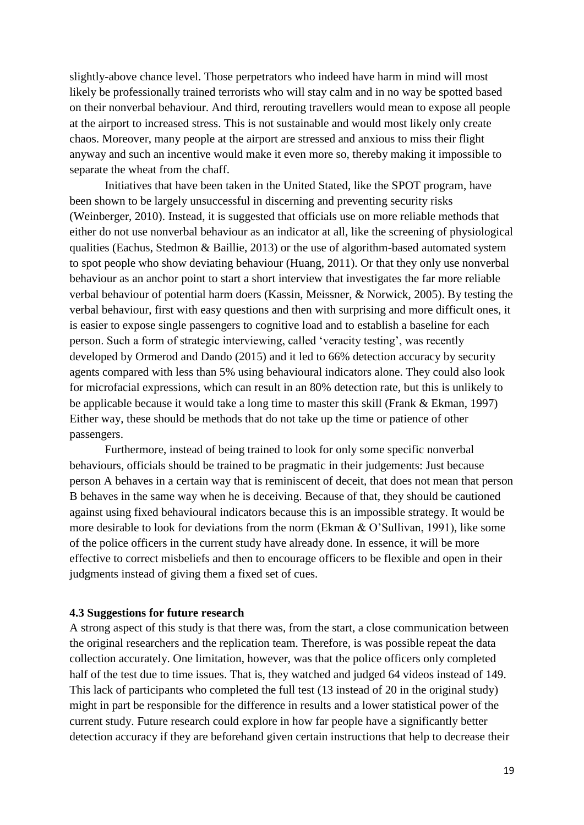slightly-above chance level. Those perpetrators who indeed have harm in mind will most likely be professionally trained terrorists who will stay calm and in no way be spotted based on their nonverbal behaviour. And third, rerouting travellers would mean to expose all people at the airport to increased stress. This is not sustainable and would most likely only create chaos. Moreover, many people at the airport are stressed and anxious to miss their flight anyway and such an incentive would make it even more so, thereby making it impossible to separate the wheat from the chaff.

Initiatives that have been taken in the United Stated, like the SPOT program, have been shown to be largely unsuccessful in discerning and preventing security risks (Weinberger, 2010). Instead, it is suggested that officials use on more reliable methods that either do not use nonverbal behaviour as an indicator at all, like the screening of physiological qualities (Eachus, Stedmon & Baillie, 2013) or the use of algorithm-based automated system to spot people who show deviating behaviour (Huang, 2011). Or that they only use nonverbal behaviour as an anchor point to start a short interview that investigates the far more reliable verbal behaviour of potential harm doers (Kassin, Meissner, & Norwick, 2005). By testing the verbal behaviour, first with easy questions and then with surprising and more difficult ones, it is easier to expose single passengers to cognitive load and to establish a baseline for each person. Such a form of strategic interviewing, called 'veracity testing', was recently developed by Ormerod and Dando (2015) and it led to 66% detection accuracy by security agents compared with less than 5% using behavioural indicators alone. They could also look for microfacial expressions, which can result in an 80% detection rate, but this is unlikely to be applicable because it would take a long time to master this skill (Frank & Ekman, 1997) Either way, these should be methods that do not take up the time or patience of other passengers.

Furthermore, instead of being trained to look for only some specific nonverbal behaviours, officials should be trained to be pragmatic in their judgements: Just because person A behaves in a certain way that is reminiscent of deceit, that does not mean that person B behaves in the same way when he is deceiving. Because of that, they should be cautioned against using fixed behavioural indicators because this is an impossible strategy. It would be more desirable to look for deviations from the norm (Ekman & O'Sullivan, 1991), like some of the police officers in the current study have already done. In essence, it will be more effective to correct misbeliefs and then to encourage officers to be flexible and open in their judgments instead of giving them a fixed set of cues.

#### <span id="page-19-0"></span>**4.3 Suggestions for future research**

A strong aspect of this study is that there was, from the start, a close communication between the original researchers and the replication team. Therefore, is was possible repeat the data collection accurately. One limitation, however, was that the police officers only completed half of the test due to time issues. That is, they watched and judged 64 videos instead of 149. This lack of participants who completed the full test (13 instead of 20 in the original study) might in part be responsible for the difference in results and a lower statistical power of the current study. Future research could explore in how far people have a significantly better detection accuracy if they are beforehand given certain instructions that help to decrease their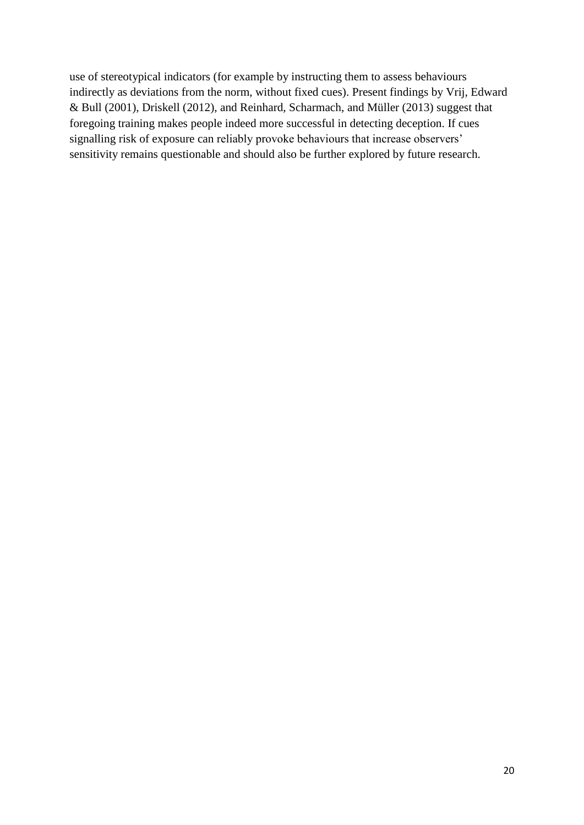use of stereotypical indicators (for example by instructing them to assess behaviours indirectly as deviations from the norm, without fixed cues). Present findings by Vrij, Edward & Bull (2001), Driskell (2012), and Reinhard, Scharmach, and Müller (2013) suggest that foregoing training makes people indeed more successful in detecting deception. If cues signalling risk of exposure can reliably provoke behaviours that increase observers' sensitivity remains questionable and should also be further explored by future research.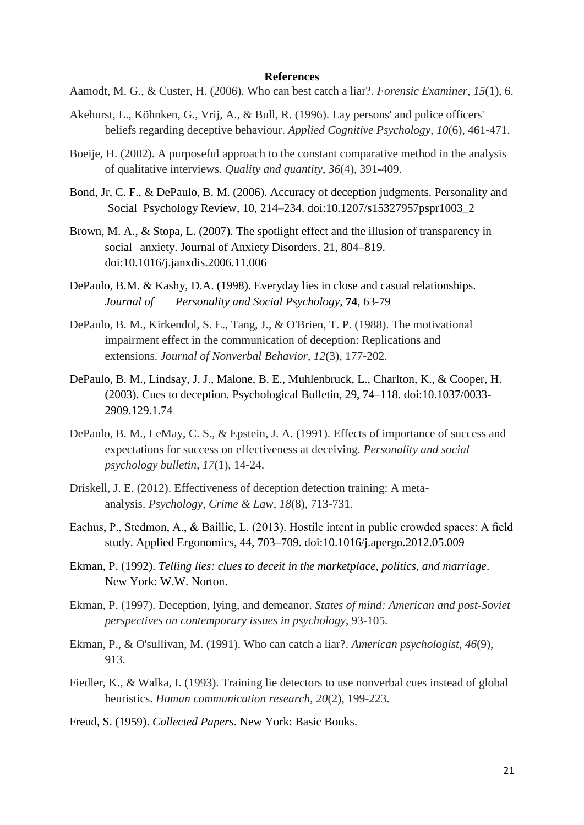#### **References**

<span id="page-21-0"></span>Aamodt, M. G., & Custer, H. (2006). Who can best catch a liar?. *Forensic Examiner*, *15*(1), 6.

- Akehurst, L., Köhnken, G., Vrij, A., & Bull, R. (1996). Lay persons' and police officers' beliefs regarding deceptive behaviour. *Applied Cognitive Psychology*, *10*(6), 461-471.
- Boeije, H. (2002). A purposeful approach to the constant comparative method in the analysis of qualitative interviews. *Quality and quantity*, *36*(4), 391-409.
- Bond, Jr, C. F., & DePaulo, B. M. (2006). Accuracy of deception judgments. Personality and Social Psychology Review, 10, 214–234. doi:10.1207/s15327957pspr1003\_2
- Brown, M. A., & Stopa, L. (2007). The spotlight effect and the illusion of transparency in social anxiety. Journal of Anxiety Disorders, 21, 804–819. doi:10.1016/j.janxdis.2006.11.006
- DePaulo, B.M. & Kashy, D.A. (1998). Everyday lies in close and casual relationships. *Journal of Personality and Social Psychology*, **74**, 63-79
- DePaulo, B. M., Kirkendol, S. E., Tang, J., & O'Brien, T. P. (1988). The motivational impairment effect in the communication of deception: Replications and extensions. *Journal of Nonverbal Behavior*, *12*(3), 177-202.
- DePaulo, B. M., Lindsay, J. J., Malone, B. E., Muhlenbruck, L., Charlton, K., & Cooper, H. (2003). Cues to deception. Psychological Bulletin, 29, 74–118. doi:10.1037/0033- 2909.129.1.74
- DePaulo, B. M., LeMay, C. S., & Epstein, J. A. (1991). Effects of importance of success and expectations for success on effectiveness at deceiving. *Personality and social psychology bulletin*, *17*(1), 14-24.
- Driskell, J. E. (2012). Effectiveness of deception detection training: A metaanalysis. *Psychology, Crime & Law*, *18*(8), 713-731.
- Eachus, P., Stedmon, A., & Baillie, L. (2013). Hostile intent in public crowded spaces: A field study. Applied Ergonomics, 44, 703–709. doi:10.1016/j.apergo.2012.05.009
- Ekman, P. (1992). *Telling lies: clues to deceit in the marketplace, politics, and marriage*. New York: W.W. Norton.
- Ekman, P. (1997). Deception, lying, and demeanor. *States of mind: American and post-Soviet perspectives on contemporary issues in psychology*, 93-105.
- Ekman, P., & O'sullivan, M. (1991). Who can catch a liar?. *American psychologist*, *46*(9), 913.
- Fiedler, K., & Walka, I. (1993). Training lie detectors to use nonverbal cues instead of global heuristics. *Human communication research*, *20*(2), 199-223.
- Freud, S. (1959). *Collected Papers*. New York: Basic Books.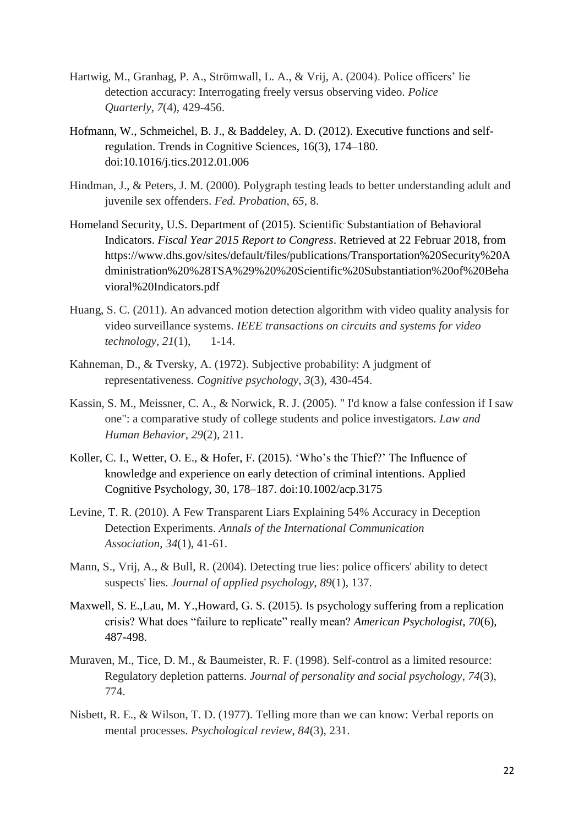- Hartwig, M., Granhag, P. A., Strömwall, L. A., & Vrij, A. (2004). Police officers' lie detection accuracy: Interrogating freely versus observing video. *Police Quarterly*, *7*(4), 429-456.
- Hofmann, W., Schmeichel, B. J., & Baddeley, A. D. (2012). Executive functions and selfregulation. Trends in Cognitive Sciences, 16(3), 174–180. doi:10.1016/j.tics.2012.01.006
- Hindman, J., & Peters, J. M. (2000). Polygraph testing leads to better understanding adult and juvenile sex offenders. *Fed. Probation*, *65*, 8.
- Homeland Security, U.S. Department of (2015). Scientific Substantiation of Behavioral Indicators. *Fiscal Year 2015 Report to Congress*. Retrieved at 22 Februar 2018, from [https://www.dhs.gov/sites/default/files/publications/Transportation%20Security%20A](https://www.dhs.gov/sites/default/files/publications/Transportation%20Security%20A%09dministration%20%28TSA%29%20%20Scientific%20Substantiation%20of%20Beha%09vioral%20Indicators.pdf) [dministration%20%28TSA%29%20%20Scientific%20Substantiation%20of%20Beha](https://www.dhs.gov/sites/default/files/publications/Transportation%20Security%20A%09dministration%20%28TSA%29%20%20Scientific%20Substantiation%20of%20Beha%09vioral%20Indicators.pdf) [vioral%20Indicators.pdf](https://www.dhs.gov/sites/default/files/publications/Transportation%20Security%20A%09dministration%20%28TSA%29%20%20Scientific%20Substantiation%20of%20Beha%09vioral%20Indicators.pdf)
- Huang, S. C. (2011). An advanced motion detection algorithm with video quality analysis for video surveillance systems. *IEEE transactions on circuits and systems for video technology*, *21*(1), 1-14.
- Kahneman, D., & Tversky, A. (1972). Subjective probability: A judgment of representativeness. *Cognitive psychology*, *3*(3), 430-454.
- Kassin, S. M., Meissner, C. A., & Norwick, R. J. (2005). " I'd know a false confession if I saw one": a comparative study of college students and police investigators. *Law and Human Behavior*, *29*(2), 211.
- Koller, C. I., Wetter, O. E., & Hofer, F. (2015). 'Who's the Thief?' The Influence of knowledge and experience on early detection of criminal intentions. Applied Cognitive Psychology, 30, 178–187. doi:10.1002/acp.3175
- Levine, T. R. (2010). A Few Transparent Liars Explaining 54% Accuracy in Deception Detection Experiments. *Annals of the International Communication Association*, *34*(1), 41-61.
- Mann, S., Vrij, A., & Bull, R. (2004). Detecting true lies: police officers' ability to detect suspects' lies. *Journal of applied psychology*, *89*(1), 137.
- Maxwell, S. E.,Lau, M. Y.,Howard, G. S. (2015). Is psychology suffering from a replication crisis? What does "failure to replicate" really mean? *American Psychologist, 70*(6), 487-498.
- Muraven, M., Tice, D. M., & Baumeister, R. F. (1998). Self-control as a limited resource: Regulatory depletion patterns. *Journal of personality and social psychology*, *74*(3), 774.
- Nisbett, R. E., & Wilson, T. D. (1977). Telling more than we can know: Verbal reports on mental processes. *Psychological review*, *84*(3), 231.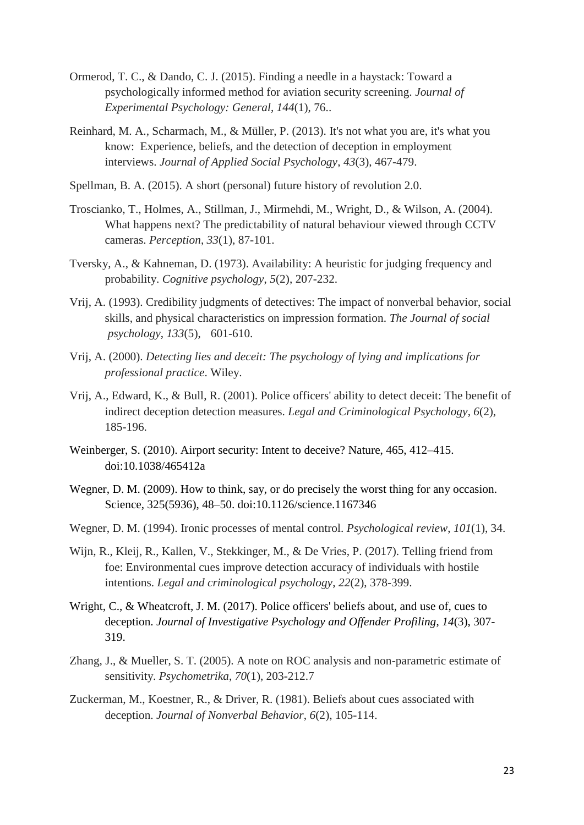- Ormerod, T. C., & Dando, C. J. (2015). Finding a needle in a haystack: Toward a psychologically informed method for aviation security screening. *Journal of Experimental Psychology: General*, *144*(1), 76..
- Reinhard, M. A., Scharmach, M., & Müller, P. (2013). It's not what you are, it's what you know: Experience, beliefs, and the detection of deception in employment interviews. *Journal of Applied Social Psychology*, *43*(3), 467-479.
- Spellman, B. A. (2015). A short (personal) future history of revolution 2.0.
- Troscianko, T., Holmes, A., Stillman, J., Mirmehdi, M., Wright, D., & Wilson, A. (2004). What happens next? The predictability of natural behaviour viewed through CCTV cameras. *Perception*, *33*(1), 87-101.
- Tversky, A., & Kahneman, D. (1973). Availability: A heuristic for judging frequency and probability. *Cognitive psychology*, *5*(2), 207-232.
- Vrij, A. (1993). Credibility judgments of detectives: The impact of nonverbal behavior, social skills, and physical characteristics on impression formation. *The Journal of social psychology*, *133*(5), 601-610.
- Vrij, A. (2000). *Detecting lies and deceit: The psychology of lying and implications for professional practice*. Wiley.
- Vrij, A., Edward, K., & Bull, R. (2001). Police officers' ability to detect deceit: The benefit of indirect deception detection measures. *Legal and Criminological Psychology*, *6*(2), 185-196.
- Weinberger, S. (2010). Airport security: Intent to deceive? Nature, 465, 412–415. doi:10.1038/465412a
- Wegner, D. M. (2009). How to think, say, or do precisely the worst thing for any occasion. Science, 325(5936), 48–50. doi:10.1126/science.1167346
- Wegner, D. M. (1994). Ironic processes of mental control. *Psychological review*, *101*(1), 34.
- Wijn, R., Kleij, R., Kallen, V., Stekkinger, M., & De Vries, P. (2017). Telling friend from foe: Environmental cues improve detection accuracy of individuals with hostile intentions. *Legal and criminological psychology*, *22*(2), 378-399.
- Wright, C., & Wheatcroft, J. M. (2017). Police officers' beliefs about, and use of, cues to deception. *Journal of Investigative Psychology and Offender Profiling*, *14*(3), 307- 319.
- Zhang, J., & Mueller, S. T. (2005). A note on ROC analysis and non-parametric estimate of sensitivity. *Psychometrika*, *70*(1), 203-212.7
- Zuckerman, M., Koestner, R., & Driver, R. (1981). Beliefs about cues associated with deception. *Journal of Nonverbal Behavior*, *6*(2), 105-114.